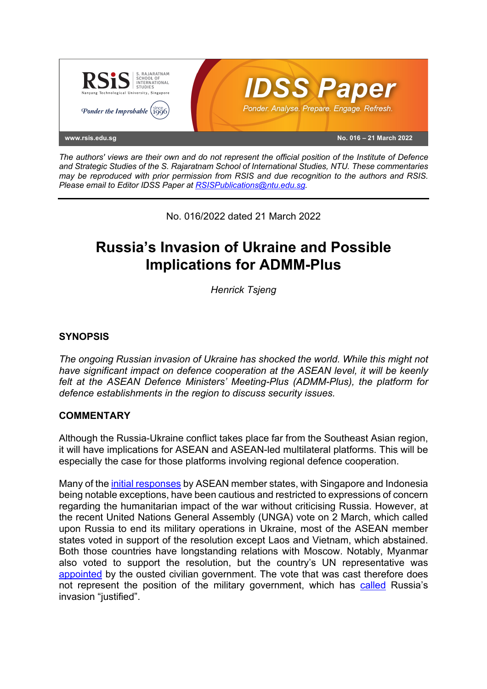

*The authors' views are their own and do not represent the official position of the Institute of Defence and Strategic Studies of the S. Rajaratnam School of International Studies, NTU. These commentaries may be reproduced with prior permission from RSIS and due recognition to the authors and RSIS. Please email to Editor IDSS Paper at RSISPublications@ntu.edu.sg.*

No. 016/2022 dated 21 March 2022

# **Russia's Invasion of Ukraine and Possible Implications for ADMM-Plus**

*Henrick Tsjeng*

## **SYNOPSIS**

*The ongoing Russian invasion of Ukraine has shocked the world. While this might not have significant impact on defence cooperation at the ASEAN level, it will be keenly felt at the ASEAN Defence Ministers' Meeting-Plus (ADMM-Plus), the platform for defence establishments in the region to discuss security issues.*

### **COMMENTARY**

Although the Russia-Ukraine conflict takes place far from the Southeast Asian region, it will have implications for ASEAN and ASEAN-led multilateral platforms. This will be especially the case for those platforms involving regional defence cooperation.

Many of the initial responses by ASEAN member states, with Singapore and Indonesia being notable exceptions, have been cautious and restricted to expressions of concern regarding the humanitarian impact of the war without criticising Russia. However, at the recent United Nations General Assembly (UNGA) vote on 2 March, which called upon Russia to end its military operations in Ukraine, most of the ASEAN member states voted in support of the resolution except Laos and Vietnam, which abstained. Both those countries have longstanding relations with Moscow. Notably, Myanmar also voted to support the resolution, but the country's UN representative was appointed by the ousted civilian government. The vote that was cast therefore does not represent the position of the military government, which has called Russia's invasion "justified".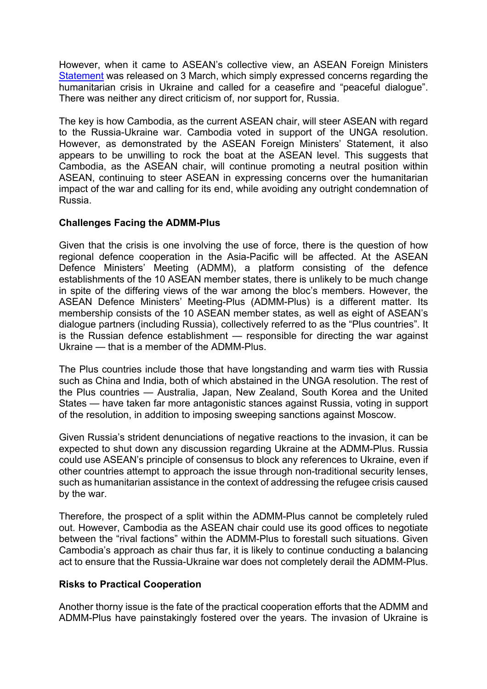However, when it came to ASEAN's collective view, an ASEAN Foreign Ministers Statement was released on 3 March, which simply expressed concerns regarding the humanitarian crisis in Ukraine and called for a ceasefire and "peaceful dialogue". There was neither any direct criticism of, nor support for, Russia.

The key is how Cambodia, as the current ASEAN chair, will steer ASEAN with regard to the Russia-Ukraine war. Cambodia voted in support of the UNGA resolution. However, as demonstrated by the ASEAN Foreign Ministers' Statement, it also appears to be unwilling to rock the boat at the ASEAN level. This suggests that Cambodia, as the ASEAN chair, will continue promoting a neutral position within ASEAN, continuing to steer ASEAN in expressing concerns over the humanitarian impact of the war and calling for its end, while avoiding any outright condemnation of Russia.

#### **Challenges Facing the ADMM-Plus**

Given that the crisis is one involving the use of force, there is the question of how regional defence cooperation in the Asia-Pacific will be affected. At the ASEAN Defence Ministers' Meeting (ADMM), a platform consisting of the defence establishments of the 10 ASEAN member states, there is unlikely to be much change in spite of the differing views of the war among the bloc's members. However, the ASEAN Defence Ministers' Meeting-Plus (ADMM-Plus) is a different matter. Its membership consists of the 10 ASEAN member states, as well as eight of ASEAN's dialogue partners (including Russia), collectively referred to as the "Plus countries". It is the Russian defence establishment — responsible for directing the war against Ukraine — that is a member of the ADMM-Plus.

The Plus countries include those that have longstanding and warm ties with Russia such as China and India, both of which abstained in the UNGA resolution. The rest of the Plus countries — Australia, Japan, New Zealand, South Korea and the United States — have taken far more antagonistic stances against Russia, voting in support of the resolution, in addition to imposing sweeping sanctions against Moscow.

Given Russia's strident denunciations of negative reactions to the invasion, it can be expected to shut down any discussion regarding Ukraine at the ADMM-Plus. Russia could use ASEAN's principle of consensus to block any references to Ukraine, even if other countries attempt to approach the issue through non-traditional security lenses, such as humanitarian assistance in the context of addressing the refugee crisis caused by the war.

Therefore, the prospect of a split within the ADMM-Plus cannot be completely ruled out. However, Cambodia as the ASEAN chair could use its good offices to negotiate between the "rival factions" within the ADMM-Plus to forestall such situations. Given Cambodia's approach as chair thus far, it is likely to continue conducting a balancing act to ensure that the Russia-Ukraine war does not completely derail the ADMM-Plus.

#### **Risks to Practical Cooperation**

Another thorny issue is the fate of the practical cooperation efforts that the ADMM and ADMM-Plus have painstakingly fostered over the years. The invasion of Ukraine is